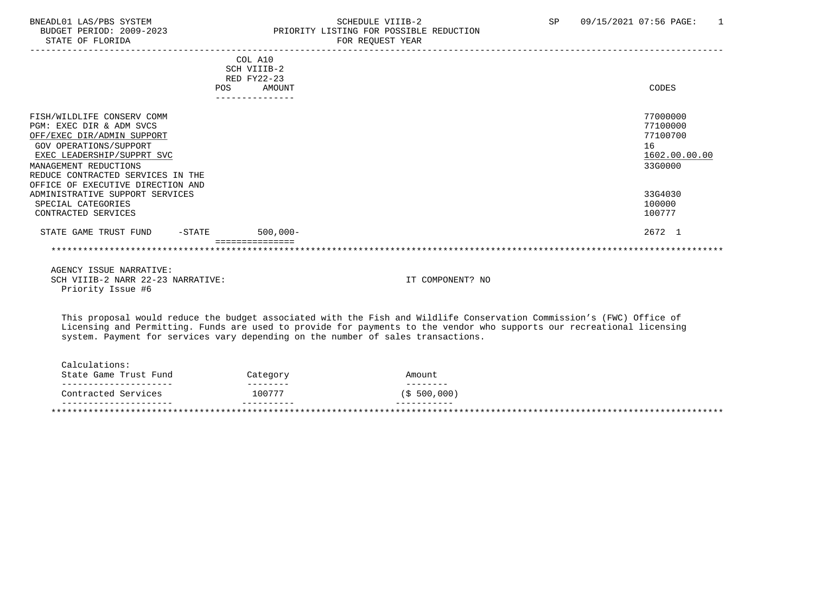# BNEADL01 LAS/PBS SYSTEM SCHEDULE VIIIB-2 SCHEDULE VIIIB-2 SP 09/15/2021 07:56 PAGE: 1 BUDGET PERIOD: 2009-2023 PRIORITY LISTING FOR POSSIBLE REDUCTION<br>STATE OF FLORIDA PRIORIC REDUCT TEAR FOR REQUEST YEAR

|                                            |     | COL A10     |                  |
|--------------------------------------------|-----|-------------|------------------|
|                                            |     | SCH VIIIB-2 |                  |
|                                            |     | RED FY22-23 |                  |
|                                            | POS | AMOUNT      | CODES            |
|                                            |     |             |                  |
| FISH/WILDLIFE CONSERV COMM                 |     |             | 77000000         |
| PGM: EXEC DIR & ADM SVCS                   |     |             | 77100000         |
| OFF/EXEC DIR/ADMIN SUPPORT                 |     |             | 77100700         |
| GOV OPERATIONS/SUPPORT                     |     |             | 16               |
| EXEC LEADERSHIP/SUPPRT SVC                 |     |             | 1602.00.00.00    |
| MANAGEMENT REDUCTIONS                      |     |             | 33G0000          |
| REDUCE CONTRACTED SERVICES IN THE          |     |             |                  |
| OFFICE OF EXECUTIVE DIRECTION AND          |     |             |                  |
| ADMINISTRATIVE SUPPORT SERVICES            |     |             | 33G4030          |
| SPECIAL CATEGORIES                         |     |             | 100000           |
| CONTRACTED SERVICES                        |     |             | 100777           |
| STATE GAME TRUST FUND<br>$-\mathtt{STATE}$ |     | $500,000 -$ | 2672 1           |
|                                            |     |             |                  |
| AGENCY ISSUE NARRATIVE:                    |     |             |                  |
| SCH VIIIB-2 NARR 22-23 NARRATIVE:          |     |             | IT COMPONENT? NO |
| Priority Issue #6                          |     |             |                  |

 This proposal would reduce the budget associated with the Fish and Wildlife Conservation Commission's (FWC) Office of Licensing and Permitting. Funds are used to provide for payments to the vendor who supports our recreational licensing system. Payment for services vary depending on the number of sales transactions.

| . _ _ _ _ _ _ _ _ _ _ _ _ _ _ _ _ _ _  | ---------- | -----------  |  |
|----------------------------------------|------------|--------------|--|
| Contracted Services                    | 100777     | (S 500, 000) |  |
| ------------------                     | --------   | --------     |  |
| Calculations:<br>State Game Trust Fund | Category   | Amount       |  |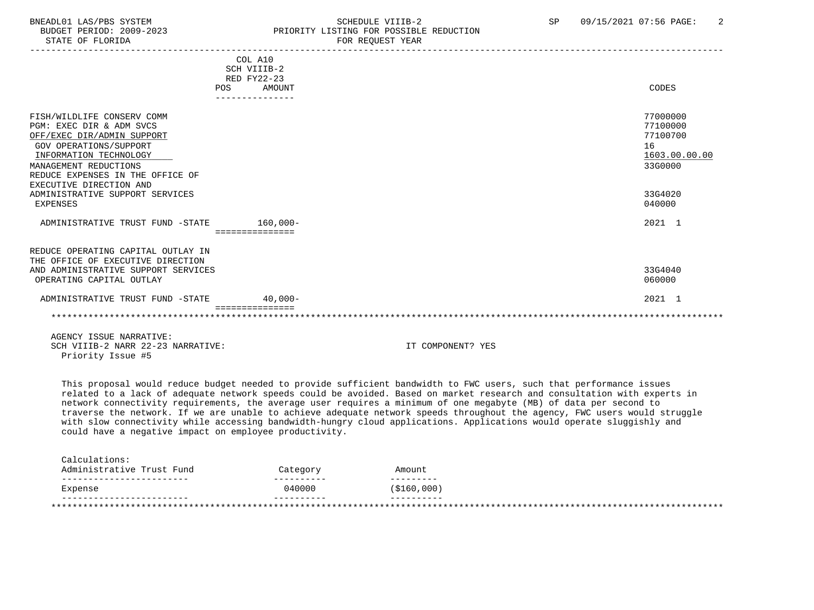# BNEADL01 LAS/PBS SYSTEM SCHEDULE VIIIB-2 SCHEDULE VIIIB-2<br>BUDGET PERIOD: 2009-2023 SP PRIORITY LISTING FOR POSSIBLE REDUCTION BUDGET PERIOD: 2009-2023<br>
STATE OF FLORIDA<br>
FOR REOUEST YEAR FOR REQUEST YEAR

|                                     | COL A10              |    |               |
|-------------------------------------|----------------------|----|---------------|
|                                     | SCH VIIIB-2          |    |               |
|                                     | RED FY22-23          |    |               |
|                                     | <b>POS</b><br>AMOUNT |    | CODES         |
|                                     |                      |    |               |
|                                     |                      |    |               |
| FISH/WILDLIFE CONSERV COMM          |                      |    | 77000000      |
| PGM: EXEC DIR & ADM SVCS            |                      |    | 77100000      |
| OFF/EXEC DIR/ADMIN SUPPORT          |                      |    | 77100700      |
| GOV OPERATIONS/SUPPORT              |                      | 16 |               |
| INFORMATION TECHNOLOGY              |                      |    | 1603.00.00.00 |
| MANAGEMENT REDUCTIONS               |                      |    | 33G0000       |
| REDUCE EXPENSES IN THE OFFICE OF    |                      |    |               |
| EXECUTIVE DIRECTION AND             |                      |    |               |
| ADMINISTRATIVE SUPPORT SERVICES     |                      |    | 33G4020       |
| <b>EXPENSES</b>                     |                      |    | 040000        |
|                                     |                      |    |               |
| ADMINISTRATIVE TRUST FUND -STATE    | 160,000-             |    | 2021 1        |
|                                     | ===============      |    |               |
|                                     |                      |    |               |
| REDUCE OPERATING CAPITAL OUTLAY IN  |                      |    |               |
| THE OFFICE OF EXECUTIVE DIRECTION   |                      |    |               |
| AND ADMINISTRATIVE SUPPORT SERVICES |                      |    | 33G4040       |
| OPERATING CAPITAL OUTLAY            |                      |    | 060000        |
|                                     |                      |    |               |
| ADMINISTRATIVE TRUST FUND -STATE    | $40.000 -$           |    | 2021 1        |
|                                     |                      |    |               |
| AGENCY ISSUE NARRATIVE:             |                      |    |               |

SCH VIIIB-2 NARR 22-23 NARRATIVE: IT COMPONENT? YES Priority Issue #5

 This proposal would reduce budget needed to provide sufficient bandwidth to FWC users, such that performance issues related to a lack of adequate network speeds could be avoided. Based on market research and consultation with experts in network connectivity requirements, the average user requires a minimum of one megabyte (MB) of data per second to traverse the network. If we are unable to achieve adequate network speeds throughout the agency, FWC users would struggle with slow connectivity while accessing bandwidth-hungry cloud applications. Applications would operate sluggishly and could have a negative impact on employee productivity.

| Administrative Trust Fund | Category | Amount       |  |
|---------------------------|----------|--------------|--|
| Expense                   | 040000   | ( \$160,000) |  |
|                           |          |              |  |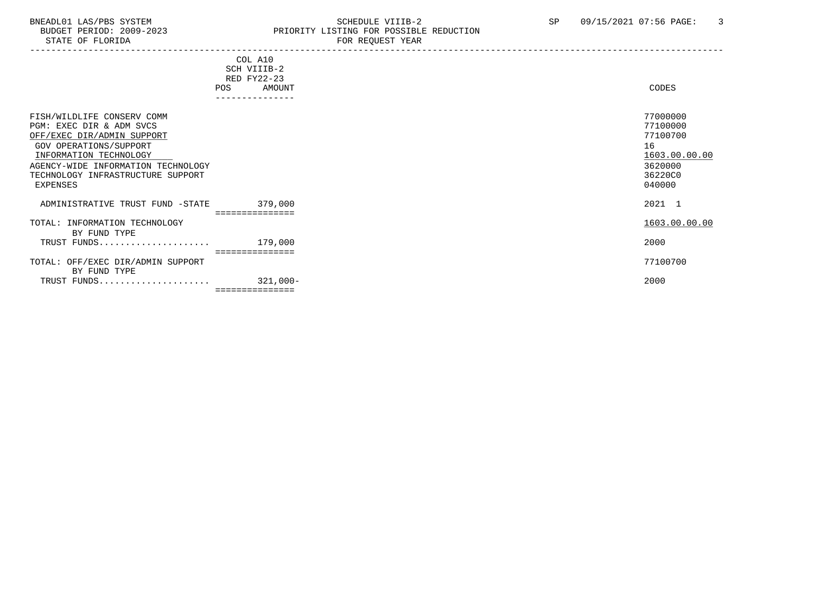# BNEADL01 LAS/PBS SYSTEM SOHEDULE VIIIB-2 SCHEDULE VIIIB-2 SP 09/15/2021 07:56 PAGE: 3<br>BUDGET PERIOD: 2009-2023 PRIORITY LISTING FOR POSSIBLE REDUCTION BUDGET PERIOD: 2009-2023 PRIORITY LISTING FOR POSSIBLE REDUCTION<br>FOR REQUEST YEAR FOR REQUEST YEAR

|                                                                                                                                                                                                                                 | COL A10<br>SCH VIIIB-2<br>RED FY22-23<br>AMOUNT<br>POS<br>--------------- | CODES                                                                                   |
|---------------------------------------------------------------------------------------------------------------------------------------------------------------------------------------------------------------------------------|---------------------------------------------------------------------------|-----------------------------------------------------------------------------------------|
| FISH/WILDLIFE CONSERV COMM<br>PGM: EXEC DIR & ADM SVCS<br>OFF/EXEC DIR/ADMIN SUPPORT<br>GOV OPERATIONS/SUPPORT<br>INFORMATION TECHNOLOGY<br>AGENCY-WIDE INFORMATION TECHNOLOGY<br>TECHNOLOGY INFRASTRUCTURE SUPPORT<br>EXPENSES |                                                                           | 77000000<br>77100000<br>77100700<br>16<br>1603.00.00.00<br>3620000<br>36220C0<br>040000 |
| ADMINISTRATIVE TRUST FUND -STATE                                                                                                                                                                                                | 379,000<br>===============                                                | 2021 1                                                                                  |
| TOTAL: INFORMATION TECHNOLOGY<br>BY FUND TYPE                                                                                                                                                                                   |                                                                           | 1603.00.00.00                                                                           |
| TRUST FUNDS                                                                                                                                                                                                                     | 179,000<br>===============                                                | 2000                                                                                    |
| TOTAL: OFF/EXEC DIR/ADMIN SUPPORT<br>BY FUND TYPE                                                                                                                                                                               |                                                                           | 77100700                                                                                |
| TRUST FUNDS                                                                                                                                                                                                                     | 321,000-<br>===============                                               | 2000                                                                                    |
|                                                                                                                                                                                                                                 |                                                                           |                                                                                         |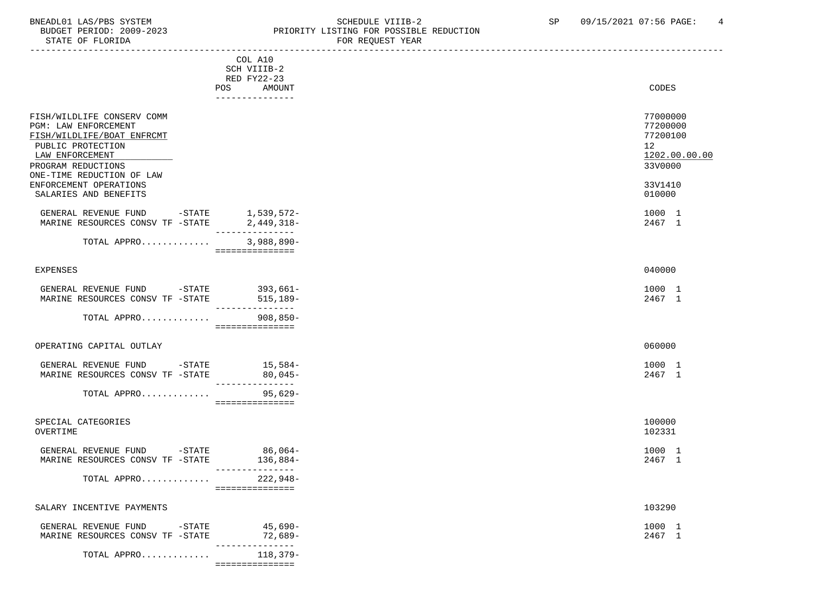# BNEADL01 LAS/PBS SYSTEM SOME SOME SOME SCHEDULE VIIIB-2 SP 09/15/2021 07:56 PAGE: 4<br>BUDGET PERIOD: 2009-2023 REIORITY LISTING FOR POSSIBLE REDUCTION BUDGET PERIOD: 2009-2023 PRIORITY LISTING FOR POSSIBLE REDUCTION<br>FOR REQUEST YEAR FOR REQUEST YEAR

|                                                                                                                                                                             | COL A10<br>SCH VIIIB-2<br>RED FY22-23     |                                                                                 |
|-----------------------------------------------------------------------------------------------------------------------------------------------------------------------------|-------------------------------------------|---------------------------------------------------------------------------------|
|                                                                                                                                                                             | AMOUNT<br>POS                             | CODES                                                                           |
|                                                                                                                                                                             | ---------------                           |                                                                                 |
| FISH/WILDLIFE CONSERV COMM<br>PGM: LAW ENFORCEMENT<br>FISH/WILDLIFE/BOAT ENFRCMT<br>PUBLIC PROTECTION<br>LAW ENFORCEMENT<br>PROGRAM REDUCTIONS<br>ONE-TIME REDUCTION OF LAW |                                           | 77000000<br>77200000<br>77200100<br>12 <sub>2</sub><br>1202.00.00.00<br>33V0000 |
| ENFORCEMENT OPERATIONS<br>SALARIES AND BENEFITS                                                                                                                             |                                           | 33V1410<br>010000                                                               |
| GENERAL REVENUE FUND<br>MARINE RESOURCES CONSV TF -STATE                                                                                                                    | -STATE 1,539,572-<br>2,449,318-           | 1000 1<br>2467 1                                                                |
| TOTAL APPRO                                                                                                                                                                 | $3,988,890-$<br>===============           |                                                                                 |
| <b>EXPENSES</b>                                                                                                                                                             |                                           | 040000                                                                          |
| GENERAL REVENUE FUND -STATE<br>MARINE RESOURCES CONSV TF -STATE                                                                                                             | $393,661-$<br>515,189-<br>--------------- | 1000 1<br>2467 1                                                                |
| TOTAL APPRO 908,850-                                                                                                                                                        | ===============                           |                                                                                 |
| OPERATING CAPITAL OUTLAY                                                                                                                                                    |                                           | 060000                                                                          |
| GENERAL REVENUE FUND<br>$-$ STATE<br>MARINE RESOURCES CONSV TF -STATE                                                                                                       | $15,584-$<br>$80,045-$<br>--------------- | 1000 1<br>2467 1                                                                |
| TOTAL APPRO                                                                                                                                                                 | $95,629-$<br>===============              |                                                                                 |
| SPECIAL CATEGORIES<br>OVERTIME                                                                                                                                              |                                           | 100000<br>102331                                                                |
| GENERAL REVENUE FUND<br>$-STATE$<br>MARINE RESOURCES CONSV TF -STATE                                                                                                        | $86,064-$<br>136,884-<br>---------------  | 1000 1<br>2467 1                                                                |
| TOTAL APPRO                                                                                                                                                                 | 222,948-<br>===============               |                                                                                 |
| SALARY INCENTIVE PAYMENTS                                                                                                                                                   |                                           | 103290                                                                          |
| GENERAL REVENUE FUND<br>$-$ STATE<br>MARINE RESOURCES CONSV TF -STATE                                                                                                       | 45,690-<br>$72,689-$<br>---------------   | 1000 1<br>2467 1                                                                |
| TOTAL APPRO                                                                                                                                                                 | 118,379-<br>===============               |                                                                                 |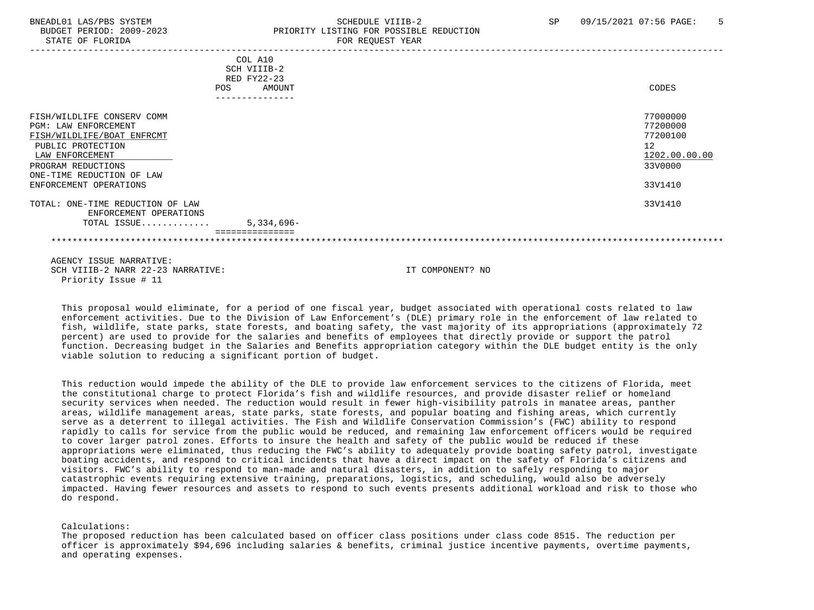# BNEADL01 LAS/PBS SYSTEM SCHEDULE VIIIB-2 SCHEDULE VIIIB-2 SP 09/15/2021 07:56 PAGE: 5 BUDGET PERIOD: 2009-2023 PRIORITY LISTING FOR POSSIBLE REDUCTION STATE OF FLORIDA FOR REQUEST YEAR FOR REQUEST YEAR

|                                                                                                                                                                                                       | COL A10<br>SCH VIIIB-2<br>RED FY22-23<br>AMOUNT<br>POS<br>--------------- | CODES                                                                         |
|-------------------------------------------------------------------------------------------------------------------------------------------------------------------------------------------------------|---------------------------------------------------------------------------|-------------------------------------------------------------------------------|
| FISH/WILDLIFE CONSERV COMM<br>PGM: LAW ENFORCEMENT<br>FISH/WILDLIFE/BOAT ENFRCMT<br>PUBLIC PROTECTION<br>LAW ENFORCEMENT<br>PROGRAM REDUCTIONS<br>ONE-TIME REDUCTION OF LAW<br>ENFORCEMENT OPERATIONS |                                                                           | 77000000<br>77200000<br>77200100<br>12<br>1202.00.00.00<br>33V0000<br>33V1410 |
| TOTAL: ONE-TIME REDUCTION OF LAW<br>ENFORCEMENT OPERATIONS<br>TOTAL ISSUE                                                                                                                             | $5,334,696-$                                                              | 33V1410                                                                       |
|                                                                                                                                                                                                       |                                                                           |                                                                               |

 AGENCY ISSUE NARRATIVE: SCH VIIIB-2 NARR 22-23 NARRATIVE: IT COMPONENT? NO Priority Issue # 11

 This proposal would eliminate, for a period of one fiscal year, budget associated with operational costs related to law enforcement activities. Due to the Division of Law Enforcement's (DLE) primary role in the enforcement of law related to fish, wildlife, state parks, state forests, and boating safety, the vast majority of its appropriations (approximately 72 percent) are used to provide for the salaries and benefits of employees that directly provide or support the patrol function. Decreasing budget in the Salaries and Benefits appropriation category within the DLE budget entity is the only viable solution to reducing a significant portion of budget.

 This reduction would impede the ability of the DLE to provide law enforcement services to the citizens of Florida, meet the constitutional charge to protect Florida's fish and wildlife resources, and provide disaster relief or homeland security services when needed. The reduction would result in fewer high-visibility patrols in manatee areas, panther areas, wildlife management areas, state parks, state forests, and popular boating and fishing areas, which currently serve as a deterrent to illegal activities. The Fish and Wildlife Conservation Commission's (FWC) ability to respond rapidly to calls for service from the public would be reduced, and remaining law enforcement officers would be required to cover larger patrol zones. Efforts to insure the health and safety of the public would be reduced if these appropriations were eliminated, thus reducing the FWC's ability to adequately provide boating safety patrol, investigate boating accidents, and respond to critical incidents that have a direct impact on the safety of Florida's citizens and visitors. FWC's ability to respond to man-made and natural disasters, in addition to safely responding to major catastrophic events requiring extensive training, preparations, logistics, and scheduling, would also be adversely impacted. Having fewer resources and assets to respond to such events presents additional workload and risk to those who do respond.

#### Calculations:

 The proposed reduction has been calculated based on officer class positions under class code 8515. The reduction per officer is approximately \$94,696 including salaries & benefits, criminal justice incentive payments, overtime payments, and operating expenses.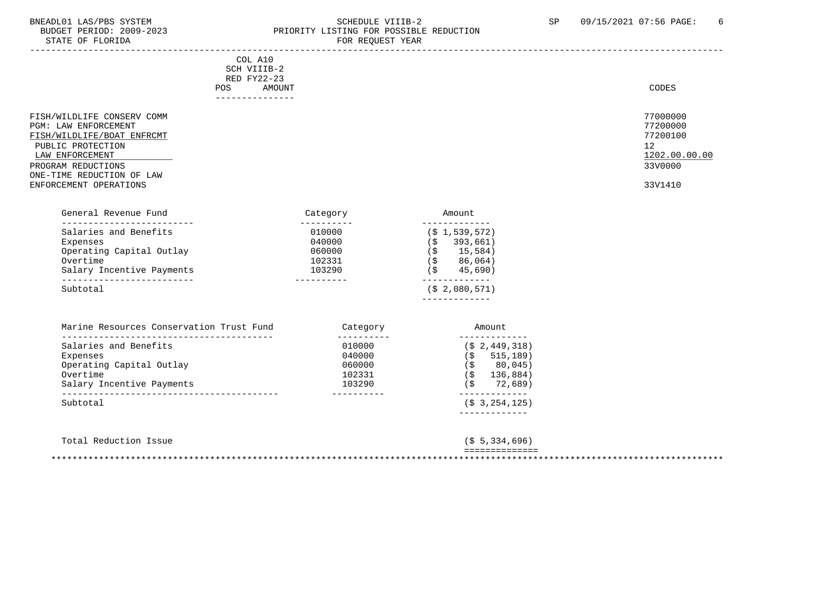STATE OF FLORIDA

# BNEADL01 LAS/PBS SYSTEM SOME SOME SOME SCHEDULE VIIIB-2 SP 09/15/2021 07:56 PAGE: 6<br>BUDGET PERIOD: 2009-2023 REIORITY LISTING FOR POSSIBLE REDUCTION PRIORITY LISTING FOR POSSIBLE REDUCTION<br>FOR REQUEST YEAR

| COL A10<br>SCH VIIIB-2<br>RED FY22-23<br>AMOUNT<br><b>POS</b>                                                                                                                                                            |                                                               |                                                                                                               | CODES                                                                         |
|--------------------------------------------------------------------------------------------------------------------------------------------------------------------------------------------------------------------------|---------------------------------------------------------------|---------------------------------------------------------------------------------------------------------------|-------------------------------------------------------------------------------|
| _______________<br>FISH/WILDLIFE CONSERV COMM<br>PGM: LAW ENFORCEMENT<br>FISH/WILDLIFE/BOAT ENFRCMT<br>PUBLIC PROTECTION<br>LAW ENFORCEMENT<br>PROGRAM REDUCTIONS<br>ONE-TIME REDUCTION OF LAW<br>ENFORCEMENT OPERATIONS |                                                               |                                                                                                               | 77000000<br>77200000<br>77200100<br>12<br>1202.00.00.00<br>33V0000<br>33V1410 |
| General Revenue Fund<br>--------------------------                                                                                                                                                                       | Category<br>__________                                        | Amount                                                                                                        |                                                                               |
| Salaries and Benefits<br>Expenses<br>Operating Capital Outlay<br>Overtime<br>Salary Incentive Payments                                                                                                                   | 010000<br>040000<br>060000<br>102331<br>103290                | -------------<br>$(S_1, 539, 572)$<br>$(S \t393,661)$<br>$($ \$ 15,584)<br>$(S \t 86, 064)$<br>45,690)<br>(S) |                                                                               |
| ___________________________<br>Subtotal                                                                                                                                                                                  | -----------                                                   | -------------<br>(S <sub>2</sub> , 080, 571)                                                                  |                                                                               |
| Marine Resources Conservation Trust Fund                                                                                                                                                                                 | Category                                                      | Amount                                                                                                        |                                                                               |
| Salaries and Benefits<br>Expenses<br>Operating Capital Outlay<br>Overtime<br>Salary Incentive Payments                                                                                                                   | -----------<br>010000<br>040000<br>060000<br>102331<br>103290 | -------------<br>$($ \$ 2,449,318)<br>$($ \$ 515,189)<br>$($ \$ 80,045)<br>$($ \$136,884)<br>$(S \t 72,689)$  |                                                                               |
| Subtotal                                                                                                                                                                                                                 | ___________                                                   | -------------<br>$($ \$3,254,125)                                                                             |                                                                               |

| Total Reduction Issue | (S, 5, 334, 696)                 |
|-----------------------|----------------------------------|
|                       | ______________<br>-------------- |
|                       |                                  |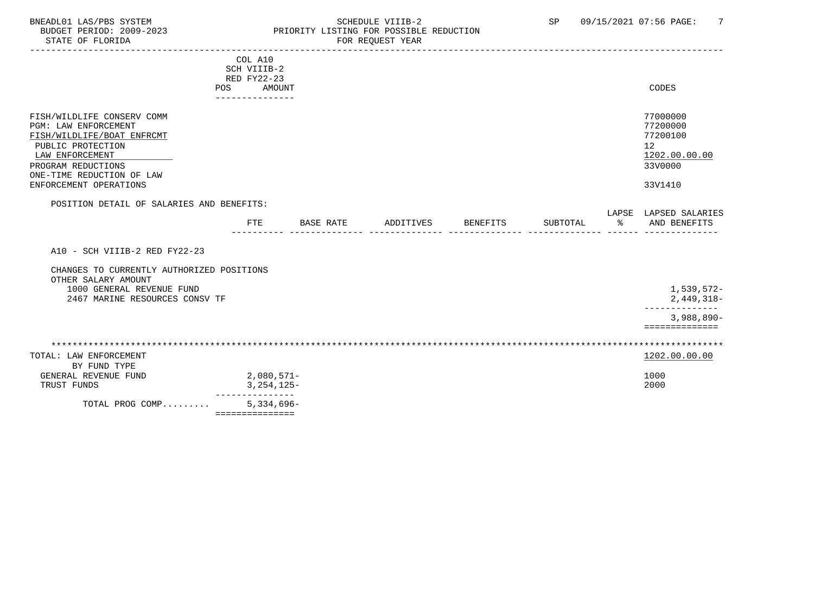# BNEADL01 LAS/PBS SYSTEM SOHEDULE VIIIB-2 SCHEDULE VIIIB-2 SP 09/15/2021 07:56 PAGE: 7<br>BUDGET PERIOD: 2009-2023 PRIORITY LISTING FOR POSSIBLE REDUCTION BUDGET PERIOD: 2009-2023 PRIORITY LISTING FOR POSSIBLE REDUCTION FOR REQUEST YEAR

|                                                                                                                                                                                                       | COL A10<br>SCH VIIIB-2<br>RED FY22-23 |                  |                    |          |           |                                                                               |
|-------------------------------------------------------------------------------------------------------------------------------------------------------------------------------------------------------|---------------------------------------|------------------|--------------------|----------|-----------|-------------------------------------------------------------------------------|
| <b>POS</b>                                                                                                                                                                                            | AMOUNT                                |                  |                    |          |           | CODES                                                                         |
|                                                                                                                                                                                                       | ---------------                       |                  |                    |          |           |                                                                               |
| FISH/WILDLIFE CONSERV COMM<br>PGM: LAW ENFORCEMENT<br>FISH/WILDLIFE/BOAT ENFRCMT<br>PUBLIC PROTECTION<br>LAW ENFORCEMENT<br>PROGRAM REDUCTIONS<br>ONE-TIME REDUCTION OF LAW<br>ENFORCEMENT OPERATIONS |                                       |                  |                    |          |           | 77000000<br>77200000<br>77200100<br>12<br>1202.00.00.00<br>33V0000<br>33V1410 |
|                                                                                                                                                                                                       |                                       |                  |                    |          |           |                                                                               |
| POSITION DETAIL OF SALARIES AND BENEFITS:                                                                                                                                                             |                                       |                  |                    |          |           |                                                                               |
|                                                                                                                                                                                                       |                                       |                  |                    |          |           | LAPSE LAPSED SALARIES                                                         |
|                                                                                                                                                                                                       | <b>FTE</b>                            | <b>BASE RATE</b> | ADDITIVES BENEFITS | SUBTOTAL | $\approx$ | AND BENEFITS                                                                  |
|                                                                                                                                                                                                       |                                       |                  |                    |          |           |                                                                               |
| A10 - SCH VIIIB-2 RED FY22-23                                                                                                                                                                         |                                       |                  |                    |          |           |                                                                               |
| CHANGES TO CURRENTLY AUTHORIZED POSITIONS                                                                                                                                                             |                                       |                  |                    |          |           |                                                                               |
| OTHER SALARY AMOUNT                                                                                                                                                                                   |                                       |                  |                    |          |           |                                                                               |
| 1000 GENERAL REVENUE FUND                                                                                                                                                                             |                                       |                  |                    |          |           | 1,539,572-                                                                    |
| 2467 MARINE RESOURCES CONSV TF                                                                                                                                                                        |                                       |                  |                    |          |           | 2,449,318-                                                                    |
|                                                                                                                                                                                                       |                                       |                  |                    |          |           | --------------                                                                |
|                                                                                                                                                                                                       |                                       |                  |                    |          |           | $3,988,890-$                                                                  |
|                                                                                                                                                                                                       |                                       |                  |                    |          |           | ==============                                                                |
|                                                                                                                                                                                                       |                                       |                  |                    |          |           |                                                                               |
|                                                                                                                                                                                                       |                                       |                  |                    |          |           |                                                                               |
| TOTAL: LAW ENFORCEMENT                                                                                                                                                                                |                                       |                  |                    |          |           | 1202.00.00.00                                                                 |
| BY FUND TYPE                                                                                                                                                                                          |                                       |                  |                    |          |           |                                                                               |
| GENERAL REVENUE FUND                                                                                                                                                                                  | $2,080,571-$                          |                  |                    |          |           | 1000                                                                          |
| TRUST FUNDS                                                                                                                                                                                           | 3, 254, 125-                          |                  |                    |          |           | 2000                                                                          |
|                                                                                                                                                                                                       | ----------                            |                  |                    |          |           |                                                                               |
| TOTAL PROG COMP                                                                                                                                                                                       | $5,334,696-$                          |                  |                    |          |           |                                                                               |
|                                                                                                                                                                                                       | ===============                       |                  |                    |          |           |                                                                               |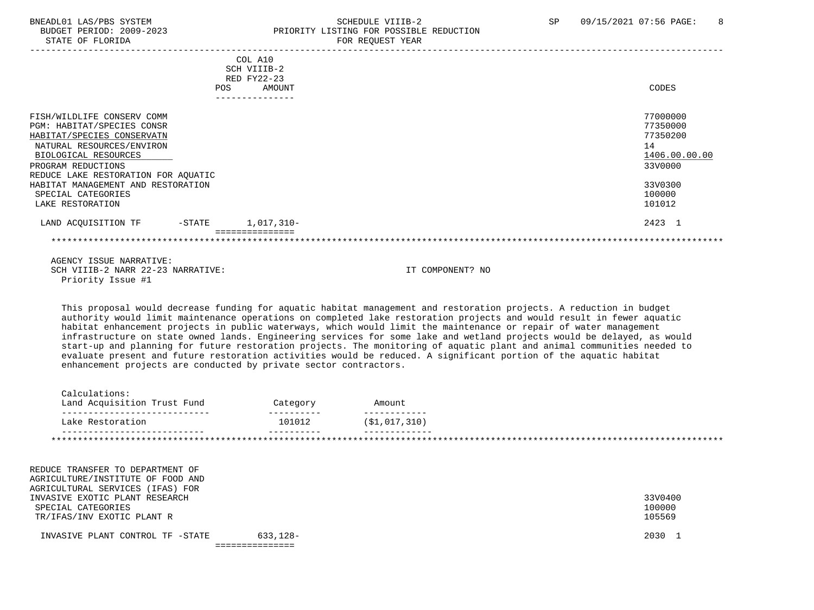# BNEADL01 LAS/PBS SYSTEM SCHEDULE VIIIB-2 SCHEDULE VIIIB-2<br>BUDGET PERIOD: 2009-2023 SP PRIORITY LISTING FOR POSSIBLE REDUCTION BUDGET PERIOD: 2009-2023 PRIORITY LISTING FOR POSSIBLE REDUCTION<br>STATE OF FLORIDA PRIORICE TOR REOUEST YEAR FOR REQUEST YEAR

|                                     |            | COL A10<br>SCH VIIIB-2 |               |
|-------------------------------------|------------|------------------------|---------------|
|                                     |            | RED FY22-23            |               |
|                                     | <b>POS</b> | AMOUNT                 | CODES         |
|                                     |            | -------------          |               |
| FISH/WILDLIFE CONSERV COMM          |            |                        | 77000000      |
| PGM: HABITAT/SPECIES CONSR          |            |                        | 77350000      |
| HABITAT/SPECIES CONSERVATN          |            |                        | 77350200      |
| NATURAL RESOURCES/ENVIRON           |            |                        | 14            |
| BIOLOGICAL RESOURCES                |            |                        | 1406.00.00.00 |
| PROGRAM REDUCTIONS                  |            |                        | 33V0000       |
| REDUCE LAKE RESTORATION FOR AQUATIC |            |                        |               |
| HABITAT MANAGEMENT AND RESTORATION  |            |                        | 33V0300       |
| SPECIAL CATEGORIES                  |            |                        | 100000        |
| LAKE RESTORATION                    |            |                        | 101012        |
| LAND ACQUISITION TF                 | -STATE     | 1,017,310-             | 2423 1        |
|                                     |            |                        |               |

 AGENCY ISSUE NARRATIVE: SCH VIIIB-2 NARR 22-23 NARRATIVE: IT COMPONENT? NO Priority Issue #1

 This proposal would decrease funding for aquatic habitat management and restoration projects. A reduction in budget authority would limit maintenance operations on completed lake restoration projects and would result in fewer aquatic habitat enhancement projects in public waterways, which would limit the maintenance or repair of water management infrastructure on state owned lands. Engineering services for some lake and wetland projects would be delayed, as would start-up and planning for future restoration projects. The monitoring of aquatic plant and animal communities needed to evaluate present and future restoration activities would be reduced. A significant portion of the aquatic habitat enhancement projects are conducted by private sector contractors.

| Calculations:<br>Land Acquisition Trust Fund | Category | Amount         |
|----------------------------------------------|----------|----------------|
| Lake Restoration                             | 101012   | (S1, 017, 310) |
|                                              |          |                |

 REDUCE TRANSFER TO DEPARTMENT OF AGRICULTURE/INSTITUTE OF FOOD AND AGRICULTURAL SERVICES (IFAS) FOR INVASIVE EXOTIC PLANT RESEARCH 33V0400 SPECIAL CATEGORIES 100000 POSTAGORIES 100000 POSTAGORIES 100000 POSTAGORIES SERVIT EN LOS ESTE ELECTRONIC EN LO<br>TRITEASINVEXOTIC PLANT R TR/IFAS/INV EXOTIC PLANT R

 INVASIVE PLANT CONTROL TF -STATE 633,128- 2030 1 ===============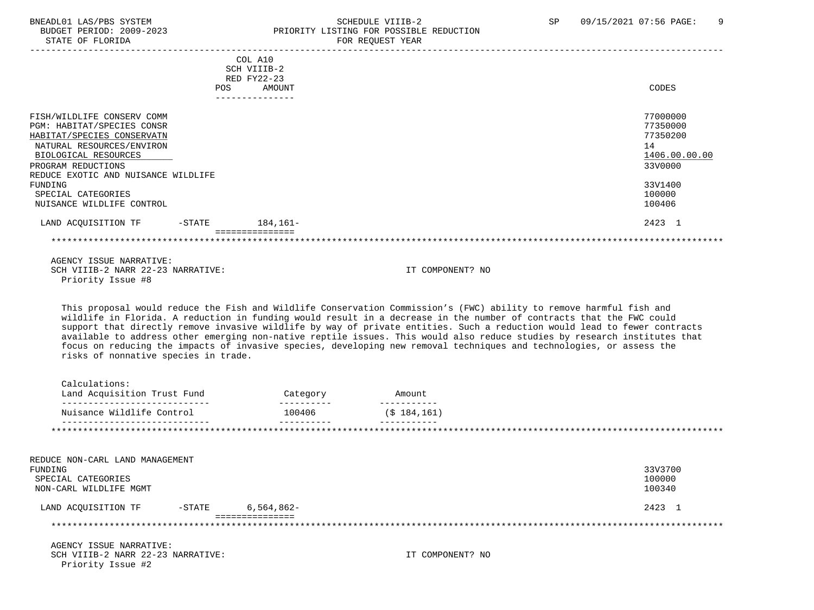# BNEADL01 LAS/PBS SYSTEM SCHEDULE VIIIB-2 SCHEDULE VIIIB-2 SP 09/15/2021 07:56 PAGE: 9 BUDGET PERIOD: 2009-2023 PRIORITY LISTING FOR POSSIBLE REDUCTION

| STATE OF FLORIDA                                                                                                                                                                                                                          |            |                                                 | FOR REQUEST YEAR                                                                                                                                                                                                                                                                                                                                                                                                                                                                                       |                                                                                         |
|-------------------------------------------------------------------------------------------------------------------------------------------------------------------------------------------------------------------------------------------|------------|-------------------------------------------------|--------------------------------------------------------------------------------------------------------------------------------------------------------------------------------------------------------------------------------------------------------------------------------------------------------------------------------------------------------------------------------------------------------------------------------------------------------------------------------------------------------|-----------------------------------------------------------------------------------------|
|                                                                                                                                                                                                                                           | <b>POS</b> | COL A10<br>SCH VIIIB-2<br>RED FY22-23<br>AMOUNT |                                                                                                                                                                                                                                                                                                                                                                                                                                                                                                        | CODES                                                                                   |
| FISH/WILDLIFE CONSERV COMM<br>PGM: HABITAT/SPECIES CONSR<br>HABITAT/SPECIES CONSERVATN<br>NATURAL RESOURCES/ENVIRON<br>BIOLOGICAL RESOURCES<br>PROGRAM REDUCTIONS<br>REDUCE EXOTIC AND NUISANCE WILDLIFE<br>FUNDING<br>SPECIAL CATEGORIES |            | ---------------                                 |                                                                                                                                                                                                                                                                                                                                                                                                                                                                                                        | 77000000<br>77350000<br>77350200<br>14<br>1406.00.00.00<br>33V0000<br>33V1400<br>100000 |
| NUISANCE WILDLIFE CONTROL                                                                                                                                                                                                                 |            |                                                 |                                                                                                                                                                                                                                                                                                                                                                                                                                                                                                        | 100406                                                                                  |
| LAND ACQUISITION TF                                                                                                                                                                                                                       |            | -STATE 184,161-                                 |                                                                                                                                                                                                                                                                                                                                                                                                                                                                                                        | 2423 1                                                                                  |
|                                                                                                                                                                                                                                           |            | ===============                                 |                                                                                                                                                                                                                                                                                                                                                                                                                                                                                                        |                                                                                         |
| AGENCY ISSUE NARRATIVE:<br>SCH VIIIB-2 NARR 22-23 NARRATIVE:<br>Priority Issue #8                                                                                                                                                         |            |                                                 | IT COMPONENT? NO<br>This proposal would reduce the Fish and Wildlife Conservation Commission's (FWC) ability to remove harmful fish and                                                                                                                                                                                                                                                                                                                                                                |                                                                                         |
| risks of nonnative species in trade.                                                                                                                                                                                                      |            |                                                 | wildlife in Florida. A reduction in funding would result in a decrease in the number of contracts that the FWC could<br>support that directly remove invasive wildlife by way of private entities. Such a reduction would lead to fewer contracts<br>available to address other emerging non-native reptile issues. This would also reduce studies by research institutes that<br>focus on reducing the impacts of invasive species, developing new removal techniques and technologies, or assess the |                                                                                         |
| Calculations:<br>Land Acquisition Trust Fund<br>______________________________                                                                                                                                                            |            | Category<br>___________                         | Amount<br>-----------                                                                                                                                                                                                                                                                                                                                                                                                                                                                                  |                                                                                         |
| Nuisance Wildlife Control                                                                                                                                                                                                                 |            | 100406                                          | (\$184,161)                                                                                                                                                                                                                                                                                                                                                                                                                                                                                            |                                                                                         |
| ______________________________                                                                                                                                                                                                            |            | $- - - - - - - -$                               | -----------                                                                                                                                                                                                                                                                                                                                                                                                                                                                                            |                                                                                         |
| REDUCE NON-CARL LAND MANAGEMENT<br>FUNDING<br>SPECIAL CATEGORIES<br>NON-CARL WILDLIFE MGMT                                                                                                                                                |            |                                                 |                                                                                                                                                                                                                                                                                                                                                                                                                                                                                                        | 33V3700<br>100000<br>100340                                                             |
| LAND ACQUISITION TF                                                                                                                                                                                                                       | $-$ STATE  | $6,564,862-$                                    |                                                                                                                                                                                                                                                                                                                                                                                                                                                                                                        | 2423 1                                                                                  |
|                                                                                                                                                                                                                                           |            | ===============                                 |                                                                                                                                                                                                                                                                                                                                                                                                                                                                                                        |                                                                                         |
| AGENCY ISSUE NARRATIVE:<br>SCH VIIIB-2 NARR 22-23 NARRATIVE:<br>Priority Issue #2                                                                                                                                                         |            |                                                 | IT COMPONENT? NO                                                                                                                                                                                                                                                                                                                                                                                                                                                                                       |                                                                                         |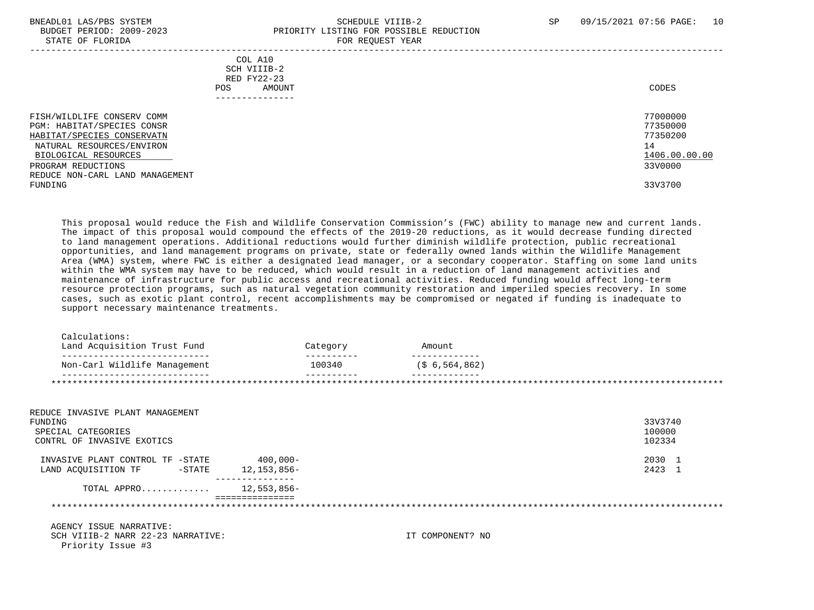### BNEADL01 LAS/PBS SYSTEM SCHEDULE VIIIB-2 SCHEDULE VIIIB-2 SP 09/15/2021 07:56 PAGE: 10 BUDGET PERIOD: 2009-2023 PRIORITY LISTING FOR POSSIBLE REDUCTION STATE OF FLORIDA FOR REQUEST YEAR FOR REQUEST THAT AND THE REDUCT OF THE REDUCT OF THE REDUCT OF THE REDUCT OF THE REDUCT OF THE REDUCT OF THE REDUCT OF THE REDUCT OF THE REDUCT OF THE REDUCT OF THE REDUCT OF THE REDUCT OF

| COL A10                         |               |
|---------------------------------|---------------|
| SCH VIIIB-2                     |               |
| RED FY22-23                     |               |
|                                 |               |
| AMOUNT<br>POS.                  | CODES         |
| ------------                    |               |
|                                 |               |
| FISH/WILDLIFE CONSERV COMM      | 77000000      |
| PGM: HABITAT/SPECIES CONSR      | 77350000      |
| HABITAT/SPECIES CONSERVATN      | 77350200      |
| NATURAL RESOURCES/ENVIRON       | 14            |
|                                 |               |
| BIOLOGICAL RESOURCES            | 1406.00.00.00 |
| PROGRAM REDUCTIONS              | 33V0000       |
| REDUCE NON-CARL LAND MANAGEMENT |               |
| FUNDING                         | 33V3700       |
|                                 |               |
|                                 |               |

 This proposal would reduce the Fish and Wildlife Conservation Commission's (FWC) ability to manage new and current lands. The impact of this proposal would compound the effects of the 2019-20 reductions, as it would decrease funding directed to land management operations. Additional reductions would further diminish wildlife protection, public recreational opportunities, and land management programs on private, state or federally owned lands within the Wildlife Management Area (WMA) system, where FWC is either a designated lead manager, or a secondary cooperator. Staffing on some land units within the WMA system may have to be reduced, which would result in a reduction of land management activities and maintenance of infrastructure for public access and recreational activities. Reduced funding would affect long-term resource protection programs, such as natural vegetation community restoration and imperiled species recovery. In some cases, such as exotic plant control, recent accomplishments may be compromised or negated if funding is inadequate to support necessary maintenance treatments.

| ---------------------        |        |                   |
|------------------------------|--------|-------------------|
| Non-Carl Wildlife Management | 100340 | $($ \$ 6,564,862) |

| REDUCE INVASIVE PLANT MANAGEMENT<br>FUNDING<br>SPECIAL CATEGORIES<br>CONTRL OF INVASIVE EXOTICS |                            | 33V3740<br>100000<br>102334 |
|-------------------------------------------------------------------------------------------------|----------------------------|-----------------------------|
| INVASIVE PLANT CONTROL TF -STATE<br>LAND ACOUISITION TF<br>$-\mathtt{STATE}$                    | $400,000 -$<br>12,153,856- | 2030 1<br>2423 1            |
| TOTAL APPRO $12,553,856-$                                                                       |                            |                             |
| AGENCY ISSUE NARRATIVE:<br>SCH VIIIB-2 NARR 22-23 NARRATIVE:<br>Priority Issue #3               | IT COMPONENT? NO           |                             |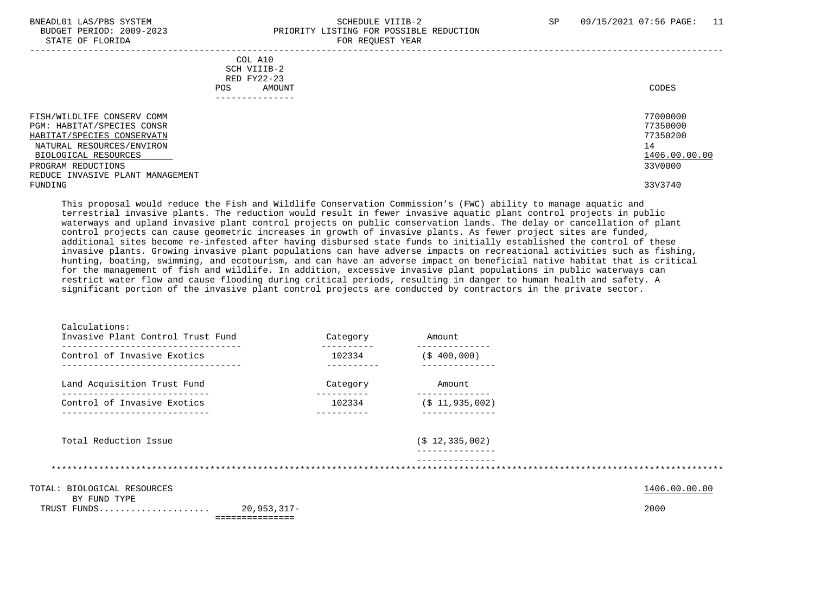### BNEADL01 LAS/PBS SYSTEM SCHEDULE VIIIB-2 SCHEDULE VIIIB-2 SP 09/15/2021 07:56 PAGE: 11 BUDGET PERIOD: 2009-2023 PRIORITY LISTING FOR POSSIBLE REDUCTION STATE OF FLORIDA FOR REQUEST YEAR FOR REQUEST THAT THE REDUCT OF STATE OF STATE OF STATE OF STATE OF STATE OF STATE OF STATE OF STATE OF STATE OF STATE OF STATE OF STATE OF STATE OF STATE OF STATE OF STATE OF STATE OF STAT

| COL A10<br>SCH VIIIB-2<br>RED FY22-23<br>AMOUNT<br>POS. | CODES         |
|---------------------------------------------------------|---------------|
| FISH/WILDLIFE CONSERV COMM                              | 77000000      |
| PGM: HABITAT/SPECIES CONSR                              | 77350000      |
| HABITAT/SPECIES CONSERVATN                              | 77350200      |
| NATURAL RESOURCES/ENVIRON                               | 14            |
| BIOLOGICAL RESOURCES                                    | 1406.00.00.00 |
| PROGRAM REDUCTIONS                                      | 33V0000       |
| REDUCE INVASIVE PLANT MANAGEMENT                        |               |
| FUNDING                                                 | 33V3740       |

 This proposal would reduce the Fish and Wildlife Conservation Commission's (FWC) ability to manage aquatic and terrestrial invasive plants. The reduction would result in fewer invasive aquatic plant control projects in public waterways and upland invasive plant control projects on public conservation lands. The delay or cancellation of plant control projects can cause geometric increases in growth of invasive plants. As fewer project sites are funded, additional sites become re-infested after having disbursed state funds to initially established the control of these invasive plants. Growing invasive plant populations can have adverse impacts on recreational activities such as fishing, hunting, boating, swimming, and ecotourism, and can have an adverse impact on beneficial native habitat that is critical for the management of fish and wildlife. In addition, excessive invasive plant populations in public waterways can restrict water flow and cause flooding during critical periods, resulting in danger to human health and safety. A significant portion of the invasive plant control projects are conducted by contractors in the private sector.

| Calculations:<br>Invasive Plant Control Trust Fund              |                               | Category | Amount                               |               |
|-----------------------------------------------------------------|-------------------------------|----------|--------------------------------------|---------------|
| --------------------------------<br>Control of Invasive Exotics |                               | 102334   | ------------<br>$($ \$400,000)       |               |
| Land Acquisition Trust Fund                                     |                               | Category | Amount                               |               |
| Control of Invasive Exotics                                     |                               | 102334   | --------------<br>$($ \$ 11,935,002) |               |
| Total Reduction Issue                                           |                               |          | $($ \$ 12,335,002)                   |               |
|                                                                 |                               |          |                                      |               |
| TOTAL: BIOLOGICAL RESOURCES<br>BY FUND TYPE                     |                               |          |                                      | 1406.00.00.00 |
| TRUST FUNDS                                                     | 20,953,317-<br>============== |          |                                      | 2000          |
|                                                                 |                               |          |                                      |               |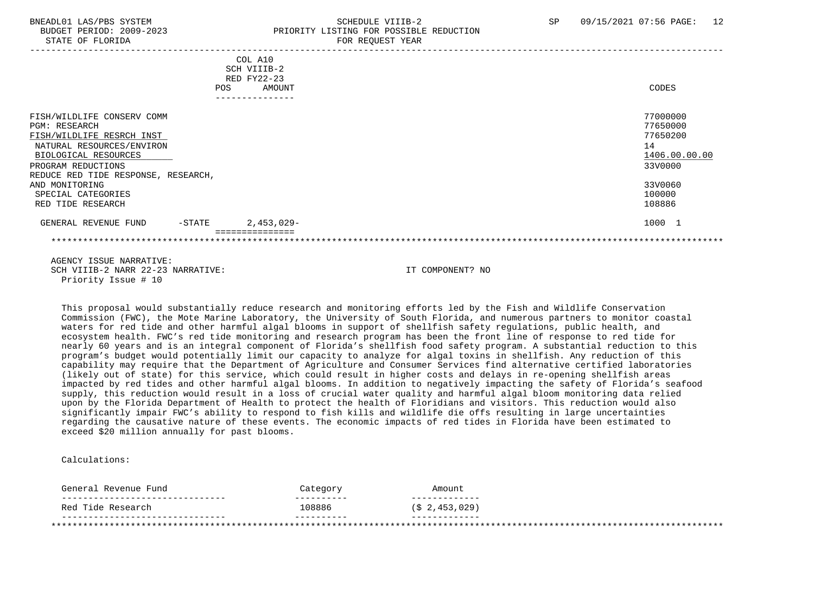# BNEADL01 LAS/PBS SYSTEM SCHEDULE VIIIB-2 SCHEDULE VIIIB-2 SP 09/15/2021 07:56 PAGE: 12 BUDGET PERIOD: 2009-2023 PRIORITY LISTING FOR POSSIBLE REDUCTION STATE OF FLORIDA FOR REQUEST YEAR FOR REQUEST YEAR

|                                                                                                                                                                                                                                                                | COL A10<br>SCH VIIIB-2<br>RED FY22-23<br>AMOUNT<br>POS | CODES                                                                                             |  |
|----------------------------------------------------------------------------------------------------------------------------------------------------------------------------------------------------------------------------------------------------------------|--------------------------------------------------------|---------------------------------------------------------------------------------------------------|--|
|                                                                                                                                                                                                                                                                | .                                                      |                                                                                                   |  |
| FISH/WILDLIFE CONSERV COMM<br><b>PGM: RESEARCH</b><br>FISH/WILDLIFE RESRCH INST<br>NATURAL RESOURCES/ENVIRON<br>BIOLOGICAL RESOURCES<br>PROGRAM REDUCTIONS<br>REDUCE RED TIDE RESPONSE, RESEARCH,<br>AND MONITORING<br>SPECIAL CATEGORIES<br>RED TIDE RESEARCH |                                                        | 77000000<br>77650000<br>77650200<br>14<br>1406.00.00.00<br>33V0000<br>33V0060<br>100000<br>108886 |  |
| GENERAL REVENUE FUND<br>$-$ STATE                                                                                                                                                                                                                              | $2,453,029-$                                           | 1000 1                                                                                            |  |
|                                                                                                                                                                                                                                                                | ============                                           |                                                                                                   |  |

 AGENCY ISSUE NARRATIVE: SCH VIIIB-2 NARR 22-23 NARRATIVE: IT COMPONENT? NO Priority Issue # 10

 This proposal would substantially reduce research and monitoring efforts led by the Fish and Wildlife Conservation Commission (FWC), the Mote Marine Laboratory, the University of South Florida, and numerous partners to monitor coastal waters for red tide and other harmful algal blooms in support of shellfish safety regulations, public health, and ecosystem health. FWC's red tide monitoring and research program has been the front line of response to red tide for nearly 60 years and is an integral component of Florida's shellfish food safety program. A substantial reduction to this program's budget would potentially limit our capacity to analyze for algal toxins in shellfish. Any reduction of this capability may require that the Department of Agriculture and Consumer Services find alternative certified laboratories (likely out of state) for this service, which could result in higher costs and delays in re-opening shellfish areas impacted by red tides and other harmful algal blooms. In addition to negatively impacting the safety of Florida's seafood supply, this reduction would result in a loss of crucial water quality and harmful algal bloom monitoring data relied upon by the Florida Department of Health to protect the health of Floridians and visitors. This reduction would also significantly impair FWC's ability to respond to fish kills and wildlife die offs resulting in large uncertainties regarding the causative nature of these events. The economic impacts of red tides in Florida have been estimated to exceed \$20 million annually for past blooms.

Calculations:

| 108886<br>Red Tide Research | General Revenue Fund | Category | Amount        |
|-----------------------------|----------------------|----------|---------------|
|                             |                      |          | (\$2,453,029) |